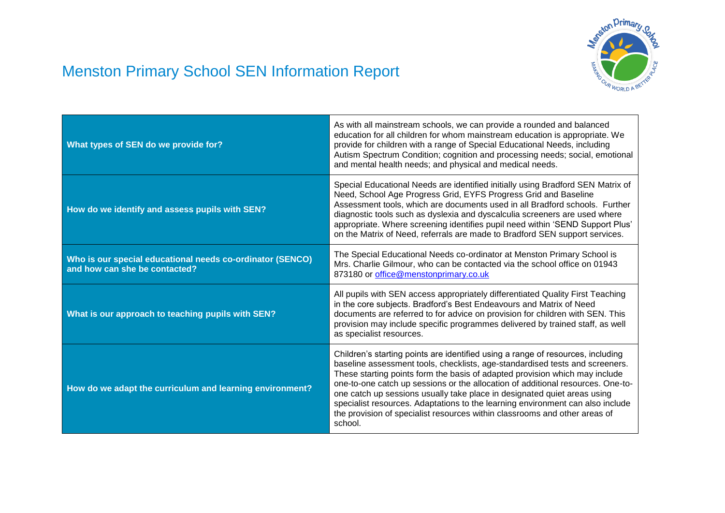## Menston Primary School SEN Information Report



| What types of SEN do we provide for?                                                       | As with all mainstream schools, we can provide a rounded and balanced<br>education for all children for whom mainstream education is appropriate. We<br>provide for children with a range of Special Educational Needs, including<br>Autism Spectrum Condition; cognition and processing needs; social, emotional<br>and mental health needs; and physical and medical needs.                                                                                                                                                                                                            |
|--------------------------------------------------------------------------------------------|------------------------------------------------------------------------------------------------------------------------------------------------------------------------------------------------------------------------------------------------------------------------------------------------------------------------------------------------------------------------------------------------------------------------------------------------------------------------------------------------------------------------------------------------------------------------------------------|
| How do we identify and assess pupils with SEN?                                             | Special Educational Needs are identified initially using Bradford SEN Matrix of<br>Need, School Age Progress Grid, EYFS Progress Grid and Baseline<br>Assessment tools, which are documents used in all Bradford schools. Further<br>diagnostic tools such as dyslexia and dyscalculia screeners are used where<br>appropriate. Where screening identifies pupil need within 'SEND Support Plus'<br>on the Matrix of Need, referrals are made to Bradford SEN support services.                                                                                                          |
| Who is our special educational needs co-ordinator (SENCO)<br>and how can she be contacted? | The Special Educational Needs co-ordinator at Menston Primary School is<br>Mrs. Charlie Gilmour, who can be contacted via the school office on 01943<br>873180 or office@menstonprimary.co.uk                                                                                                                                                                                                                                                                                                                                                                                            |
| What is our approach to teaching pupils with SEN?                                          | All pupils with SEN access appropriately differentiated Quality First Teaching<br>in the core subjects. Bradford's Best Endeavours and Matrix of Need<br>documents are referred to for advice on provision for children with SEN. This<br>provision may include specific programmes delivered by trained staff, as well<br>as specialist resources.                                                                                                                                                                                                                                      |
| How do we adapt the curriculum and learning environment?                                   | Children's starting points are identified using a range of resources, including<br>baseline assessment tools, checklists, age-standardised tests and screeners.<br>These starting points form the basis of adapted provision which may include<br>one-to-one catch up sessions or the allocation of additional resources. One-to-<br>one catch up sessions usually take place in designated quiet areas using<br>specialist resources. Adaptations to the learning environment can also include<br>the provision of specialist resources within classrooms and other areas of<br>school. |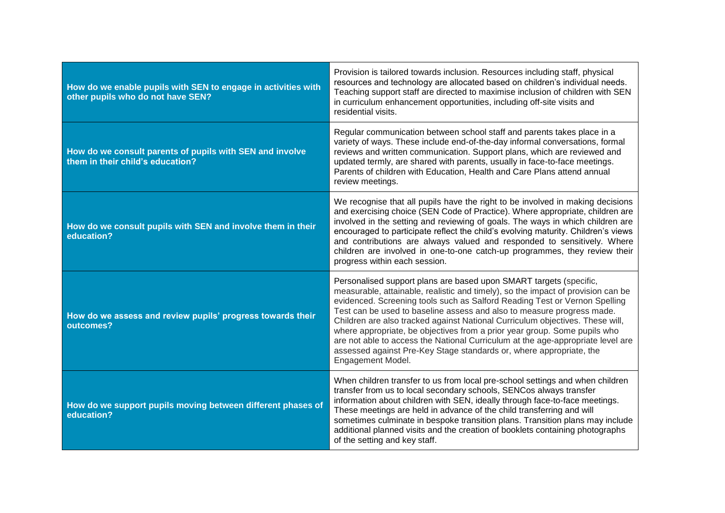| How do we enable pupils with SEN to engage in activities with<br>other pupils who do not have SEN? | Provision is tailored towards inclusion. Resources including staff, physical<br>resources and technology are allocated based on children's individual needs.<br>Teaching support staff are directed to maximise inclusion of children with SEN<br>in curriculum enhancement opportunities, including off-site visits and<br>residential visits.                                                                                                                                                                                                                                                                                                             |
|----------------------------------------------------------------------------------------------------|-------------------------------------------------------------------------------------------------------------------------------------------------------------------------------------------------------------------------------------------------------------------------------------------------------------------------------------------------------------------------------------------------------------------------------------------------------------------------------------------------------------------------------------------------------------------------------------------------------------------------------------------------------------|
| How do we consult parents of pupils with SEN and involve<br>them in their child's education?       | Regular communication between school staff and parents takes place in a<br>variety of ways. These include end-of-the-day informal conversations, formal<br>reviews and written communication. Support plans, which are reviewed and<br>updated termly, are shared with parents, usually in face-to-face meetings.<br>Parents of children with Education, Health and Care Plans attend annual<br>review meetings.                                                                                                                                                                                                                                            |
| How do we consult pupils with SEN and involve them in their<br>education?                          | We recognise that all pupils have the right to be involved in making decisions<br>and exercising choice (SEN Code of Practice). Where appropriate, children are<br>involved in the setting and reviewing of goals. The ways in which children are<br>encouraged to participate reflect the child's evolving maturity. Children's views<br>and contributions are always valued and responded to sensitively. Where<br>children are involved in one-to-one catch-up programmes, they review their<br>progress within each session.                                                                                                                            |
| How do we assess and review pupils' progress towards their<br>outcomes?                            | Personalised support plans are based upon SMART targets (specific,<br>measurable, attainable, realistic and timely), so the impact of provision can be<br>evidenced. Screening tools such as Salford Reading Test or Vernon Spelling<br>Test can be used to baseline assess and also to measure progress made.<br>Children are also tracked against National Curriculum objectives. These will,<br>where appropriate, be objectives from a prior year group. Some pupils who<br>are not able to access the National Curriculum at the age-appropriate level are<br>assessed against Pre-Key Stage standards or, where appropriate, the<br>Engagement Model. |
| How do we support pupils moving between different phases of<br>education?                          | When children transfer to us from local pre-school settings and when children<br>transfer from us to local secondary schools, SENCos always transfer<br>information about children with SEN, ideally through face-to-face meetings.<br>These meetings are held in advance of the child transferring and will<br>sometimes culminate in bespoke transition plans. Transition plans may include<br>additional planned visits and the creation of booklets containing photographs<br>of the setting and key staff.                                                                                                                                             |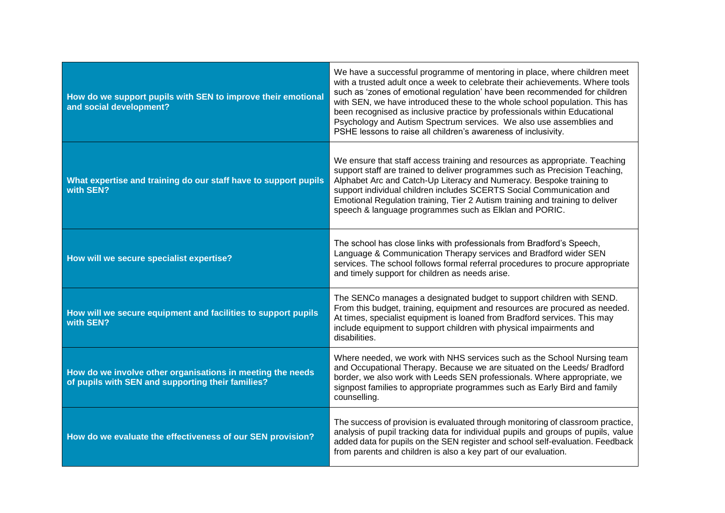| How do we support pupils with SEN to improve their emotional<br>and social development?                         | We have a successful programme of mentoring in place, where children meet<br>with a trusted adult once a week to celebrate their achievements. Where tools<br>such as 'zones of emotional regulation' have been recommended for children<br>with SEN, we have introduced these to the whole school population. This has<br>been recognised as inclusive practice by professionals within Educational<br>Psychology and Autism Spectrum services. We also use assemblies and<br>PSHE lessons to raise all children's awareness of inclusivity. |
|-----------------------------------------------------------------------------------------------------------------|-----------------------------------------------------------------------------------------------------------------------------------------------------------------------------------------------------------------------------------------------------------------------------------------------------------------------------------------------------------------------------------------------------------------------------------------------------------------------------------------------------------------------------------------------|
| What expertise and training do our staff have to support pupils<br>with SEN?                                    | We ensure that staff access training and resources as appropriate. Teaching<br>support staff are trained to deliver programmes such as Precision Teaching,<br>Alphabet Arc and Catch-Up Literacy and Numeracy. Bespoke training to<br>support individual children includes SCERTS Social Communication and<br>Emotional Regulation training, Tier 2 Autism training and training to deliver<br>speech & language programmes such as Elklan and PORIC.                                                                                         |
| How will we secure specialist expertise?                                                                        | The school has close links with professionals from Bradford's Speech,<br>Language & Communication Therapy services and Bradford wider SEN<br>services. The school follows formal referral procedures to procure appropriate<br>and timely support for children as needs arise.                                                                                                                                                                                                                                                                |
| How will we secure equipment and facilities to support pupils<br>with SEN?                                      | The SENCo manages a designated budget to support children with SEND.<br>From this budget, training, equipment and resources are procured as needed.<br>At times, specialist equipment is loaned from Bradford services. This may<br>include equipment to support children with physical impairments and<br>disabilities.                                                                                                                                                                                                                      |
| How do we involve other organisations in meeting the needs<br>of pupils with SEN and supporting their families? | Where needed, we work with NHS services such as the School Nursing team<br>and Occupational Therapy. Because we are situated on the Leeds/ Bradford<br>border, we also work with Leeds SEN professionals. Where appropriate, we<br>signpost families to appropriate programmes such as Early Bird and family<br>counselling.                                                                                                                                                                                                                  |
| How do we evaluate the effectiveness of our SEN provision?                                                      | The success of provision is evaluated through monitoring of classroom practice,<br>analysis of pupil tracking data for individual pupils and groups of pupils, value<br>added data for pupils on the SEN register and school self-evaluation. Feedback<br>from parents and children is also a key part of our evaluation.                                                                                                                                                                                                                     |